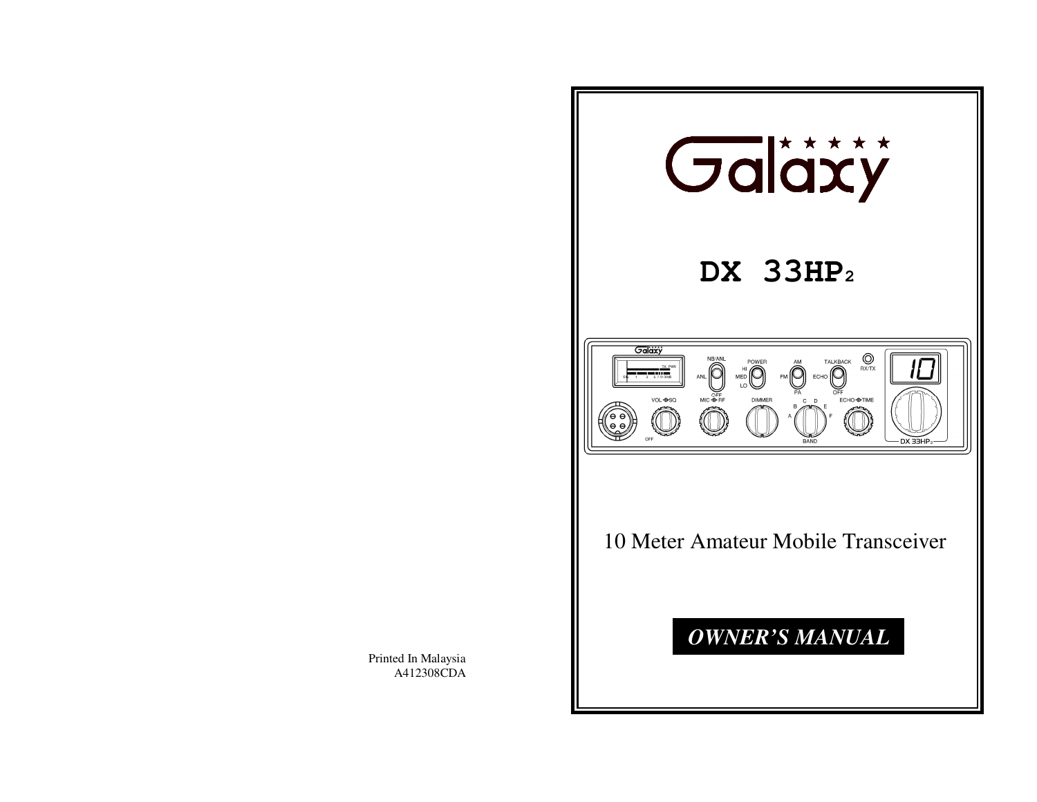

Printed In Malaysia A412308CDA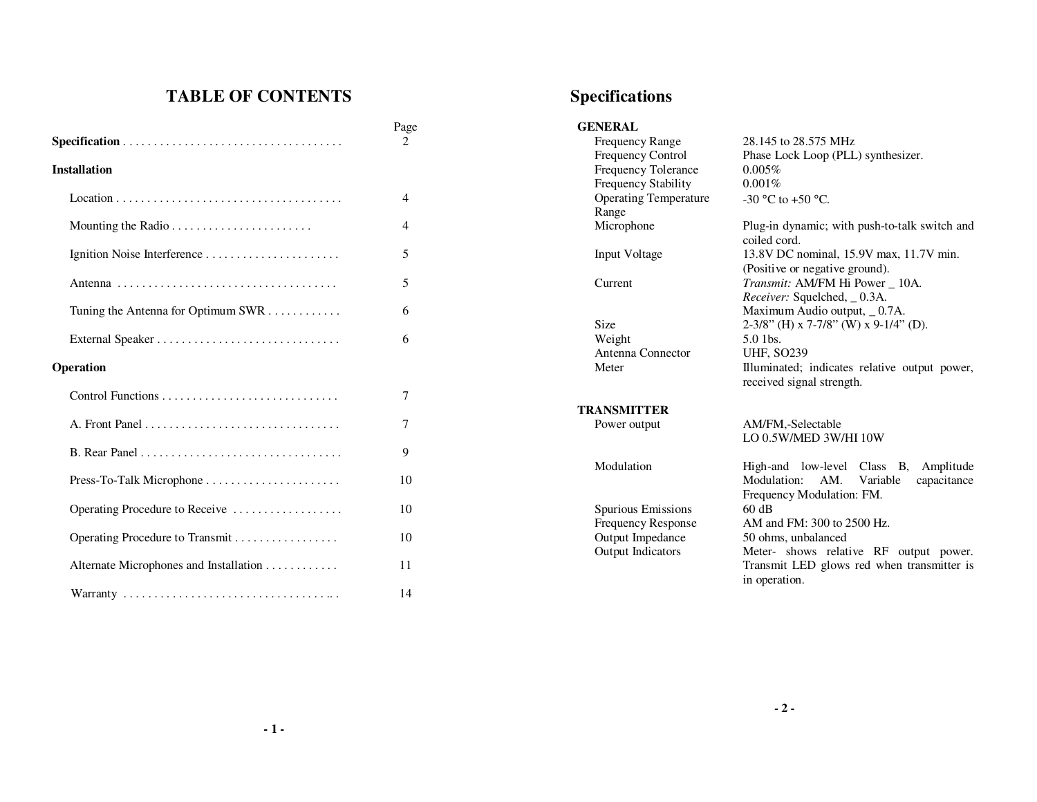# **TABLE OF CONTENTS**

|                                        | Page<br>2      |
|----------------------------------------|----------------|
| <b>Installation</b>                    |                |
|                                        | 4              |
|                                        | $\overline{4}$ |
|                                        | 5              |
|                                        | 5              |
| Tuning the Antenna for Optimum SWR     | 6              |
|                                        | 6              |
| Operation                              |                |
|                                        | 7              |
|                                        | 7              |
|                                        | 9              |
|                                        | 10             |
| Operating Procedure to Receive         | 10             |
| Operating Procedure to Transmit        | 10             |
| Alternate Microphones and Installation | 11             |
|                                        | 14             |

## **Specifications**

| <b>GENERAL</b>               |                                                               |
|------------------------------|---------------------------------------------------------------|
| <b>Frequency Range</b>       | 28.145 to 28.575 MHz                                          |
| <b>Frequency Control</b>     | Phase Lock Loop (PLL) synthesizer.                            |
| Frequency Tolerance          | 0.005%                                                        |
| Frequency Stability          | 0.001%                                                        |
| <b>Operating Temperature</b> | -30 °C to +50 °C.                                             |
| Range                        |                                                               |
| Microphone                   | Plug-in dynamic; with push-to-talk switch and<br>coiled cord. |
| <b>Input Voltage</b>         | 13.8V DC nominal, 15.9V max, 11.7V min.                       |
|                              | (Positive or negative ground).                                |
| Current                      | Transmit: AM/FM Hi Power _ 10A.                               |
|                              | <i>Receiver:</i> Squelched, _0.3A.                            |
|                              | Maximum Audio output, _0.7A.                                  |
| Size                         | $2-3/8$ " (H) x 7-7/8" (W) x 9-1/4" (D).                      |
| Weight                       | $5.0$ 1bs.                                                    |
| Antenna Connector            | <b>UHF, SO239</b>                                             |
| Meter                        | Illuminated; indicates relative output power,                 |
|                              | received signal strength.                                     |
| <b>TRANSMITTER</b>           |                                                               |
| Power output                 | AM/FM,-Selectable                                             |
|                              | LO 0.5W/MED 3W/HI 10W                                         |
| Modulation                   | High-and low-level Class B,<br>Amplitude                      |
|                              | AM.<br>capacitance<br>Modulation:<br>Variable                 |
|                              | Frequency Modulation: FM.                                     |
| Spurious Emissions           | 60 dB                                                         |
| <b>Frequency Response</b>    | AM and FM: 300 to 2500 Hz.                                    |
| Output Impedance             | 50 ohms, unbalanced                                           |
| Output Indicators            | Meter- shows relative RF output power.                        |
|                              | Transmit LED glows red when transmitter is                    |
|                              | in operation.                                                 |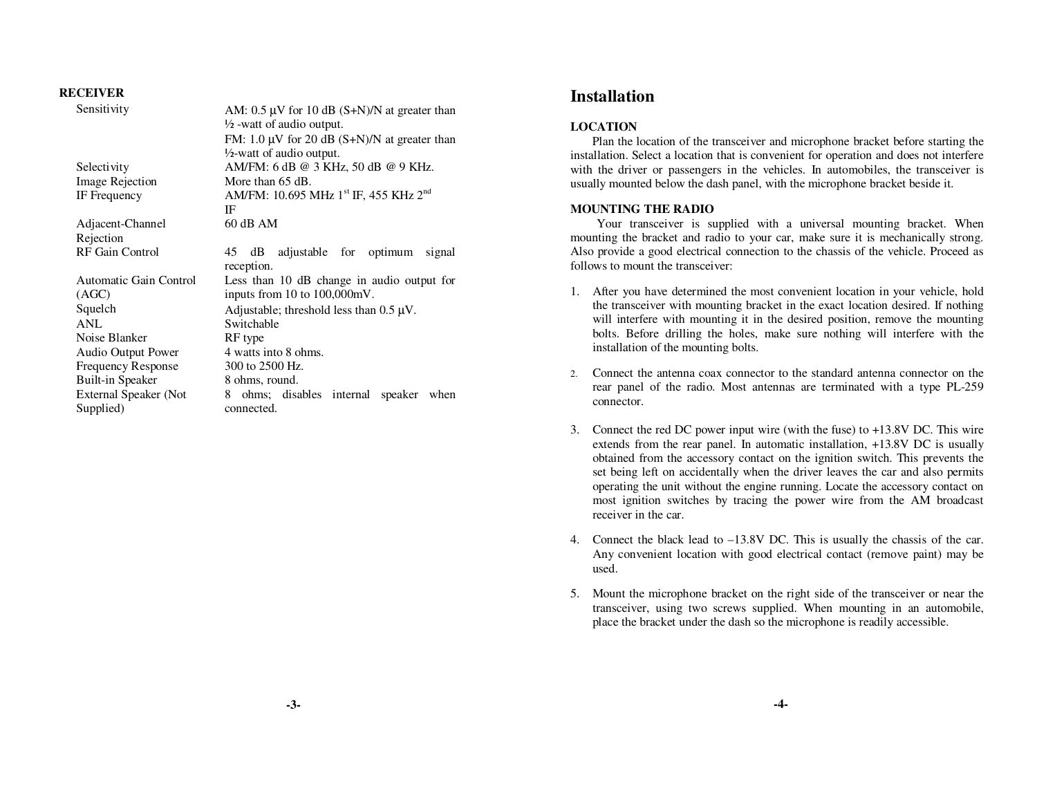### **RECEIVER**

| AM: $0.5 \mu V$ for 10 dB (S+N)/N at greater than             |  |
|---------------------------------------------------------------|--|
| $\frac{1}{2}$ -watt of audio output.                          |  |
| FM: $1.0 \mu V$ for 20 dB (S+N)/N at greater than             |  |
| $\frac{1}{2}$ -watt of audio output.                          |  |
| AM/FM: 6 dB @ 3 KHz, 50 dB @ 9 KHz.                           |  |
| More than 65 dB.                                              |  |
| AM/FM: 10.695 MHz 1 <sup>st</sup> IF, 455 KHz 2 <sup>nd</sup> |  |
| IF                                                            |  |
| $60$ dB AM                                                    |  |
|                                                               |  |
| dB adjustable for optimum<br>45<br>signal<br>reception.       |  |
| Less than 10 dB change in audio output for                    |  |
| inputs from 10 to 100,000mV.                                  |  |
| Adjustable; threshold less than $0.5 \mu V$ .                 |  |
| Switchable                                                    |  |
| RF type                                                       |  |
| 4 watts into 8 ohms.                                          |  |
| 300 to 2500 Hz.                                               |  |
| 8 ohms, round.                                                |  |
| ohms; disables internal<br>8<br>speaker<br>when               |  |
| connected.                                                    |  |
|                                                               |  |

## **Installation**

### **LOCATION**

 Plan the location of the transceiver and microphone bracket before starting the installation. Select a location that is convenient for operation and does not interfere with the driver or passengers in the vehicles. In automobiles, the transceiver is usually mounted below the dash panel, with the microphone bracket beside it.

### **MOUNTING THE RADIO**

 Your transceiver is supplied with a universal mounting bracket. When mounting the bracket and radio to your car, make sure it is mechanically strong. Also provide a good electrical connection to the chassis of the vehicle. Proceed as follows to mount the transceiver:

- 1. After you have determined the most convenient location in your vehicle, hold the transceiver with mounting bracket in the exact location desired. If nothing will interfere with mounting it in the desired position, remove the mounting bolts. Before drilling the holes, make sure nothing will interfere with the installation of the mounting bolts.
- 2. Connect the antenna coax connector to the standard antenna connector on the rear panel of the radio. Most antennas are terminated with a type PL-259 connector.
- 3. Connect the red DC power input wire (with the fuse) to +13.8V DC. This wire extends from the rear panel. In automatic installation, +13.8V DC is usually obtained from the accessory contact on the ignition switch. This prevents the set being left on accidentally when the driver leaves the car and also permits operating the unit without the engine running. Locate the accessory contact on most ignition switches by tracing the power wire from the AM broadcast receiver in the car.
- 4. Connect the black lead to –13.8V DC. This is usually the chassis of the car. Any convenient location with good electrical contact (remove paint) may be used.
- 5. Mount the microphone bracket on the right side of the transceiver or near the transceiver, using two screws supplied. When mounting in an automobile, place the bracket under the dash so the microphone is readily accessible.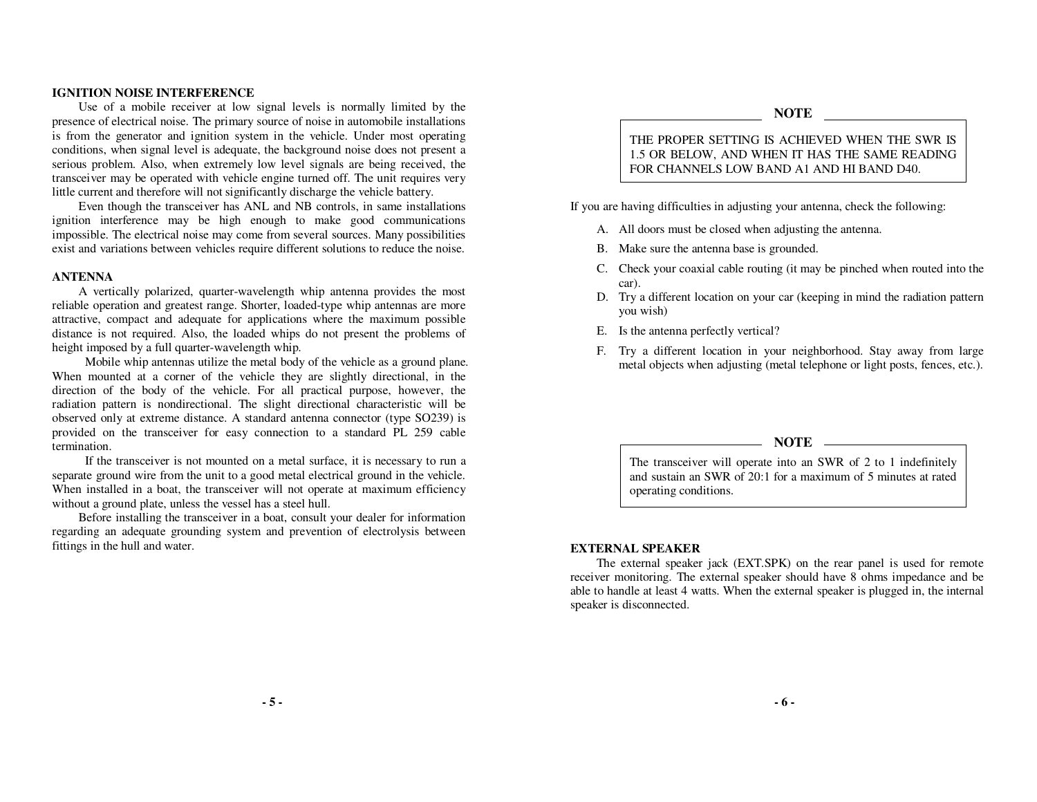#### **IGNITION NOISE INTERFERENCE**

 Use of a mobile receiver at low signal levels is normally limited by the presence of electrical noise. The primary source of noise in automobile installations is from the generator and ignition system in the vehicle. Under most operating conditions, when signal level is adequate, the background noise does not present a serious problem. Also, when extremely low level signals are being received, the transceiver may be operated with vehicle engine turned off. The unit requires very little current and therefore will not significantly discharge the vehicle battery.

 Even though the transceiver has ANL and NB controls, in same installations ignition interference may be high enough to make good communications impossible. The electrical noise may come from several sources. Many possibilities exist and variations between vehicles require different solutions to reduce the noise.

#### **ANTENNA**

 A vertically polarized, quarter-wavelength whip antenna provides the most reliable operation and greatest range. Shorter, loaded-type whip antennas are more attractive, compact and adequate for applications where the maximum possible distance is not required. Also, the loaded whips do not present the problems of height imposed by a full quarter-wavelength whip.

 Mobile whip antennas utilize the metal body of the vehicle as a ground plane. When mounted at a corner of the vehicle they are slightly directional, in the direction of the body of the vehicle. For all practical purpose, however, the radiation pattern is nondirectional. The slight directional characteristic will be observed only at extreme distance. A standard antenna connector (type SO239) is provided on the transceiver for easy connection to a standard PL 259 cable termination.

 If the transceiver is not mounted on a metal surface, it is necessary to run a separate ground wire from the unit to a good metal electrical ground in the vehicle. When installed in a boat, the transceiver will not operate at maximum efficiency without a ground plate, unless the vessel has a steel hull.

 Before installing the transceiver in a boat, consult your dealer for information regarding an adequate grounding system and prevention of electrolysis between fittings in the hull and water.

#### **NOTE**

THE PROPER SETTING IS ACHIEVED WHEN THE SWR IS 1.5 OR BELOW, AND WHEN IT HAS THE SAME READING FOR CHANNELS LOW BAND A1 AND HI BAND D40.

If you are having difficulties in adjusting your antenna, check the following:

- A. All doors must be closed when adjusting the antenna.
- B. Make sure the antenna base is grounded.
- C. Check your coaxial cable routing (it may be pinched when routed into the car).
- D. Try a different location on your car (keeping in mind the radiation pattern you wish)
- E. Is the antenna perfectly vertical?
- F. Try a different location in your neighborhood. Stay away from large metal objects when adjusting (metal telephone or light posts, fences, etc.).

#### **NOTE**

The transceiver will operate into an SWR of 2 to 1 indefinitely and sustain an SWR of 20:1 for a maximum of 5 minutes at rated operating conditions.

#### **EXTERNAL SPEAKER**

 The external speaker jack (EXT.SPK) on the rear panel is used for remote receiver monitoring. The external speaker should have 8 ohms impedance and be able to handle at least 4 watts. When the external speaker is plugged in, the internal speaker is disconnected.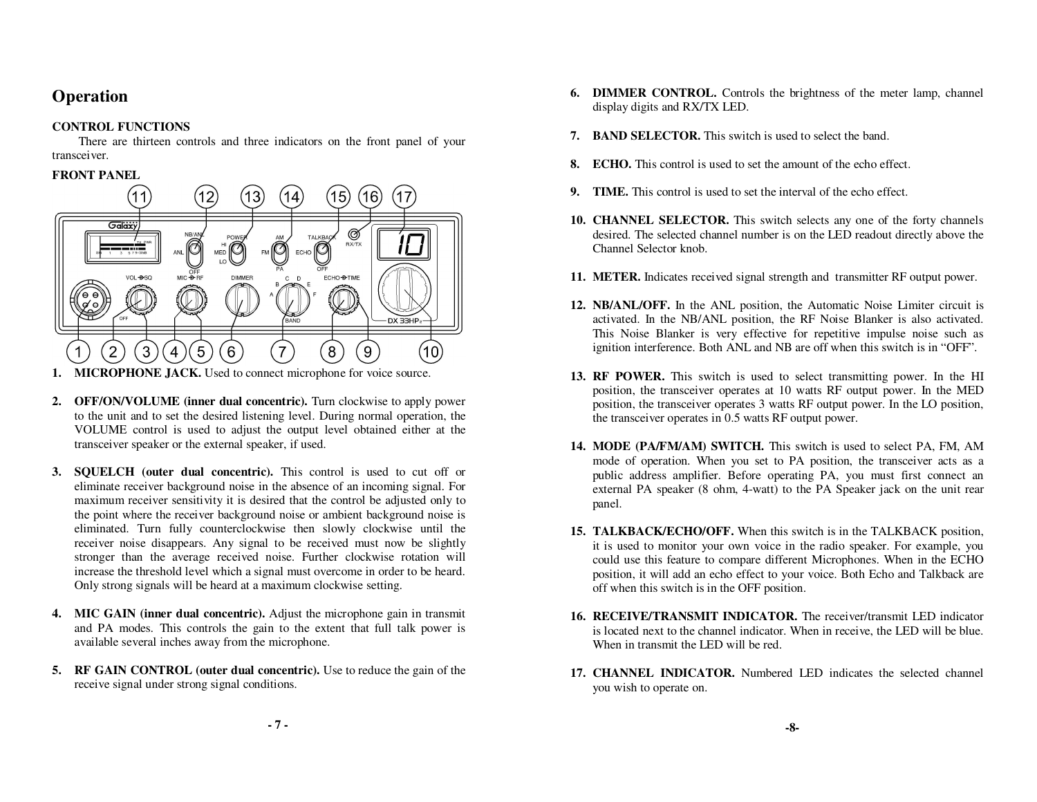## **Operation**

## **CONTROL FUNCTIONS**

 There are thirteen controls and three indicators on the front panel of your transceiver.

## **FRONT PANEL**



- **1. MICROPHONE JACK.** Used to connect microphone for voice source.
- **2. OFF/ON/VOLUME (inner dual concentric).** Turn clockwise to apply power to the unit and to set the desired listening level. During normal operation, the VOLUME control is used to adjust the output level obtained either at the transceiver speaker or the external speaker, if used.
- **3. SQUELCH (outer dual concentric).** This control is used to cut off or eliminate receiver background noise in the absence of an incoming signal. For maximum receiver sensitivity it is desired that the control be adjusted only to the point where the receiver background noise or ambient background noise is eliminated. Turn fully counterclockwise then slowly clockwise until the receiver noise disappears. Any signal to be received must now be slightly stronger than the average received noise. Further clockwise rotation will increase the threshold level which a signal must overcome in order to be heard. Only strong signals will be heard at a maximum clockwise setting.
- **4. MIC GAIN (inner dual concentric).** Adjust the microphone gain in transmit and PA modes. This controls the gain to the extent that full talk power is available several inches away from the microphone.
- **5. RF GAIN CONTROL (outer dual concentric).** Use to reduce the gain of the receive signal under strong signal conditions.
- **6. DIMMER CONTROL.** Controls the brightness of the meter lamp, channel display digits and RX/TX LED.
- **7. BAND SELECTOR.** This switch is used to select the band.
- **8. ECHO.** This control is used to set the amount of the echo effect.
- **9.TIME.** This control is used to set the interval of the echo effect.
- **10. CHANNEL SELECTOR.** This switch selects any one of the forty channels desired. The selected channel number is on the LED readout directly above the Channel Selector knob.
- **11. METER.** Indicates received signal strength and transmitter RF output power.
- **12. NB/ANL/OFF.** In the ANL position, the Automatic Noise Limiter circuit is activated. In the NB/ANL position, the RF Noise Blanker is also activated. This Noise Blanker is very effective for repetitive impulse noise such as ignition interference. Both ANL and NB are off when this switch is in "OFF".
- **13. RF POWER.** This switch is used to select transmitting power. In the HI position, the transceiver operates at 10 watts RF output power. In the MED position, the transceiver operates 3 watts RF output power. In the LO position, the transceiver operates in 0.5 watts RF output power.
- **14. MODE (PA/FM/AM) SWITCH.** This switch is used to select PA, FM, AM mode of operation. When you set to PA position, the transceiver acts as a public address amplifier. Before operating PA, you must first connect an external PA speaker (8 ohm, 4-watt) to the PA Speaker jack on the unit rear panel.
- **15. TALKBACK/ECHO/OFF.** When this switch is in the TALKBACK position, it is used to monitor your own voice in the radio speaker. For example, you could use this feature to compare different Microphones. When in the ECHO position, it will add an echo effect to your voice. Both Echo and Talkback are off when this switch is in the OFF position.
- **16. RECEIVE/TRANSMIT INDICATOR.** The receiver/transmit LED indicator is located next to the channel indicator. When in receive, the LED will be blue. When in transmit the LED will be red.
- **17. CHANNEL INDICATOR.** Numbered LED indicates the selected channel you wish to operate on.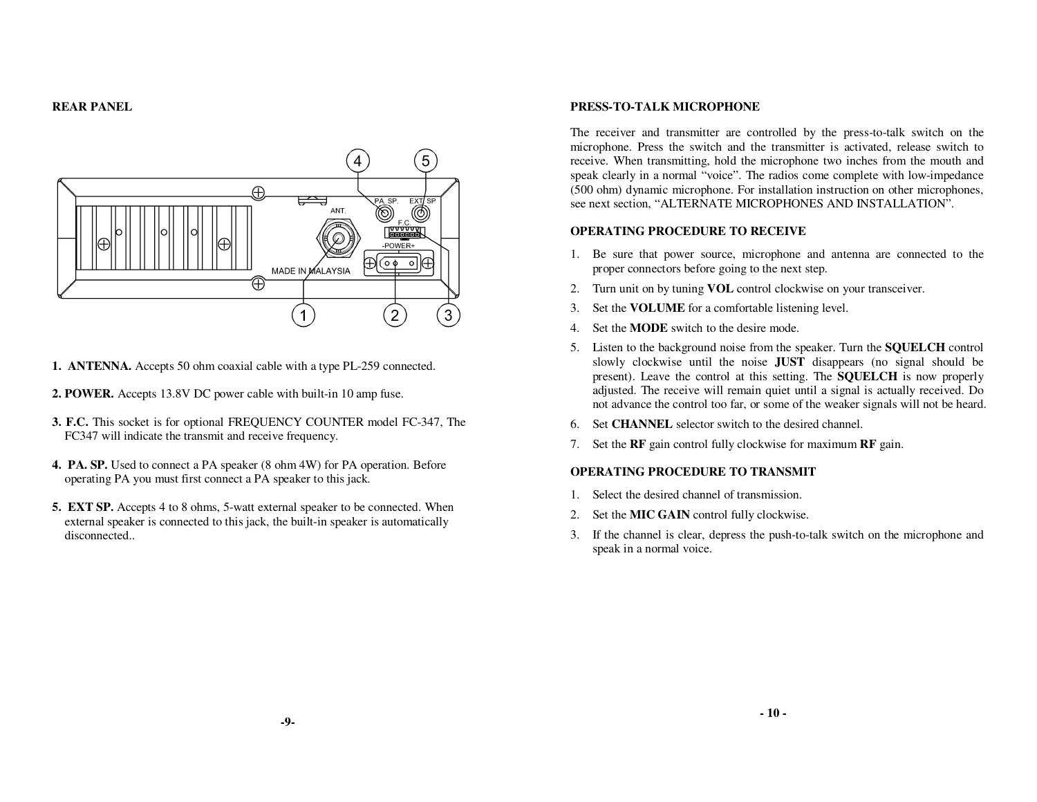## **REAR PANEL**



- **1. ANTENNA.** Accepts 50 ohm coaxial cable with a type PL-259 connected.
- **2. POWER.** Accepts 13.8V DC power cable with built-in 10 amp fuse.
- **3. F.C.** This socket is for optional FREQUENCY COUNTER model FC-347, The FC347 will indicate the transmit and receive frequency.
- **4. PA. SP.** Used to connect a PA speaker (8 ohm 4W) for PA operation. Before operating PA you must first connect a PA speaker to this jack.
- **5. EXT SP.** Accepts 4 to 8 ohms, 5-watt external speaker to be connected. When external speaker is connected to this jack, the built-in speaker is automatically disconnected..

#### **PRESS-TO-TALK MICROPHONE**

The receiver and transmitter are controlled by the press-to-talk switch on the microphone. Press the switch and the transmitter is activated, release switch to receive. When transmitting, hold the microphone two inches from the mouth and speak clearly in a normal "voice". The radios come complete with low-impedance (500 ohm) dynamic microphone. For installation instruction on other microphones, see next section, "ALTERNATE MICROPHONES AND INSTALLATION".

## **OPERATING PROCEDURE TO RECEIVE**

- 1. Be sure that power source, microphone and antenna are connected to the proper connectors before going to the next step.
- 2. Turn unit on by tuning **VOL** control clockwise on your transceiver.
- 3.Set the **VOLUME** for a comfortable listening level.
- 4. Set the **MODE** switch to the desire mode.
- 5. Listen to the background noise from the speaker. Turn the **SQUELCH** control slowly clockwise until the noise **JUST** disappears (no signal should be present). Leave the control at this setting. The **SQUELCH** is now properly adjusted. The receive will remain quiet until a signal is actually received. Do not advance the control too far, or some of the weaker signals will not be heard.
- 6. Set **CHANNEL** selector switch to the desired channel.
- 7. Set the **RF** gain control fully clockwise for maximum **RF** gain.

## **OPERATING PROCEDURE TO TRANSMIT**

- 1.Select the desired channel of transmission.
- 2. Set the **MIC GAIN** control fully clockwise.
- 3. If the channel is clear, depress the push-to-talk switch on the microphone and speak in a normal voice.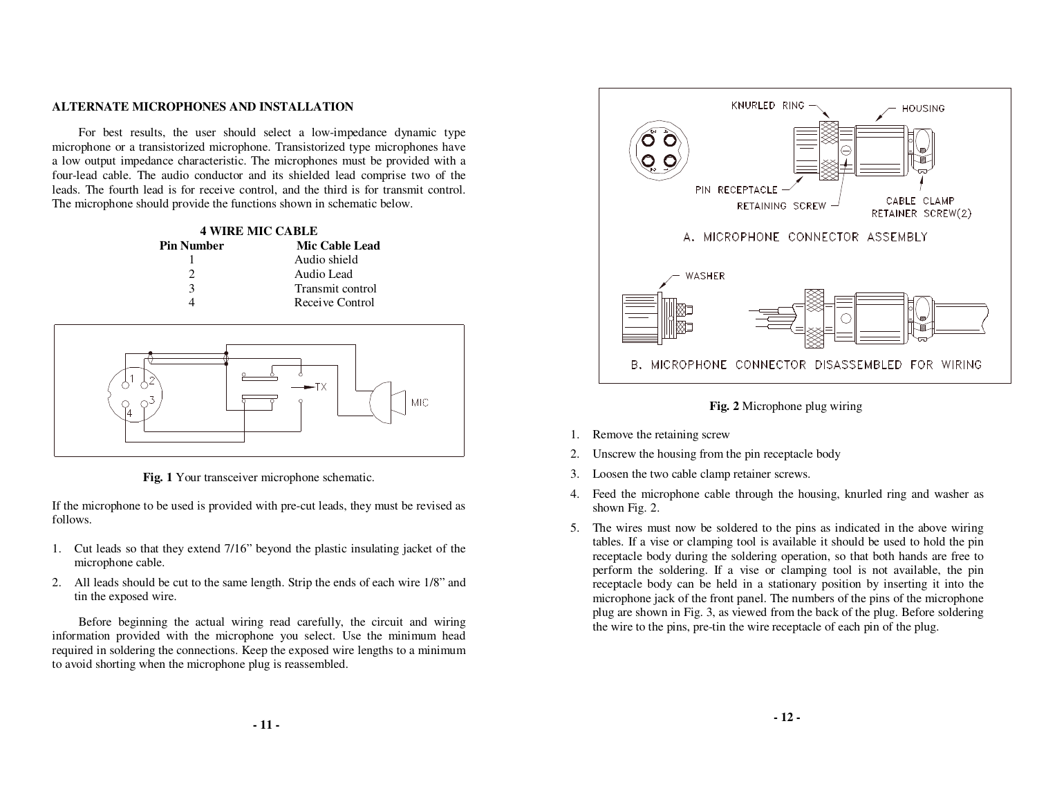#### **ALTERNATE MICROPHONES AND INSTALLATION**

For best results, the user should select a low-impedance dynamic type microphone or a transistorized microphone. Transistorized type microphones have a low output impedance characteristic. The microphones must be provided with a four-lead cable. The audio conductor and its shielded lead comprise two of the leads. The fourth lead is for receive control, and the third is for transmit control. The microphone should provide the functions shown in schematic below.

| <b>4 WIRE MIC CABLE</b> |                  |  |
|-------------------------|------------------|--|
| <b>Pin Number</b>       | Mic Cable Lead   |  |
|                         | Audio shield     |  |
|                         | Audio Lead       |  |
| 3                       | Transmit control |  |
|                         | Receive Control  |  |



**Fig. 1** Your transceiver microphone schematic.

If the microphone to be used is provided with pre-cut leads, they must be revised as follows.

- 1. Cut leads so that they extend 7/16" beyond the plastic insulating jacket of the microphone cable.
- 2. All leads should be cut to the same length. Strip the ends of each wire 1/8" and tin the exposed wire.

Before beginning the actual wiring read carefully, the circuit and wiring information provided with the microphone you select. Use the minimum head required in soldering the connections. Keep the exposed wire lengths to a minimum to avoid shorting when the microphone plug is reassembled.



**Fig. 2** Microphone plug wiring

- 1. Remove the retaining screw
- 2.Unscrew the housing from the pin receptacle body
- 3.Loosen the two cable clamp retainer screws.
- 4. Feed the microphone cable through the housing, knurled ring and washer as shown Fig. 2.
- 5. The wires must now be soldered to the pins as indicated in the above wiring tables. If a vise or clamping tool is available it should be used to hold the pin receptacle body during the soldering operation, so that both hands are free to perform the soldering. If a vise or clamping tool is not available, the pin receptacle body can be held in a stationary position by inserting it into the microphone jack of the front panel. The numbers of the pins of the microphone plug are shown in Fig. 3, as viewed from the back of the plug. Before soldering the wire to the pins, pre-tin the wire receptacle of each pin of the plug.